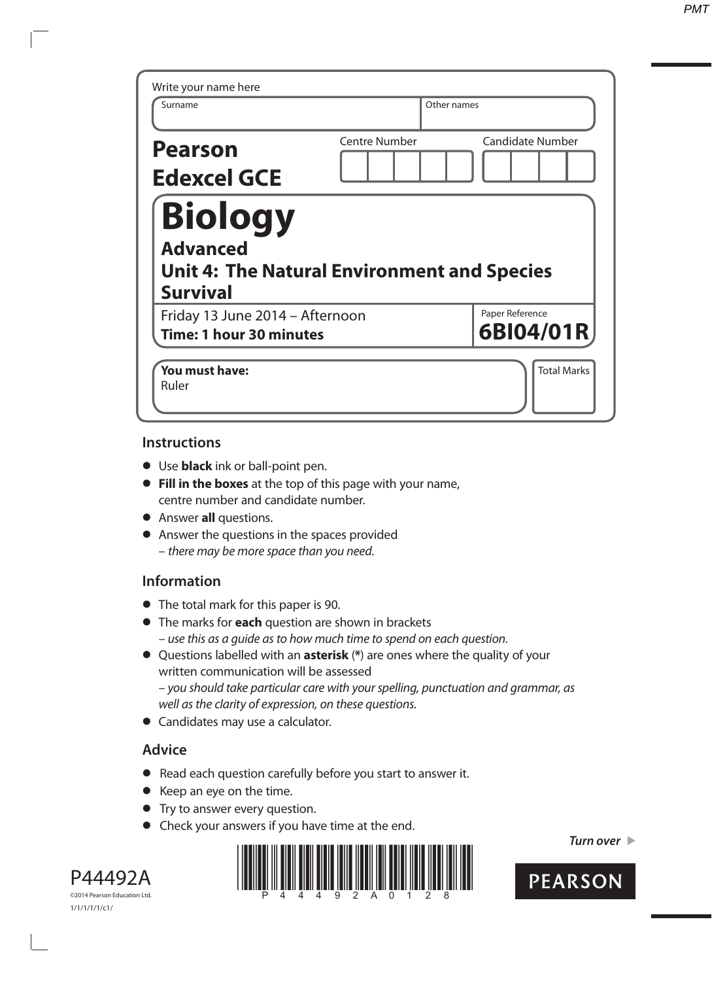| Write your name here                                                                                       |                      |                              |
|------------------------------------------------------------------------------------------------------------|----------------------|------------------------------|
| Surname                                                                                                    | Other names          |                              |
| <b>Pearson</b>                                                                                             | <b>Centre Number</b> | <b>Candidate Number</b>      |
| <b>Edexcel GCE</b>                                                                                         |                      |                              |
| <b>Biology</b><br><b>Advanced</b><br><b>Unit 4: The Natural Environment and Species</b><br><b>Survival</b> |                      |                              |
| Friday 13 June 2014 - Afternoon<br><b>Time: 1 hour 30 minutes</b>                                          |                      | Paper Reference<br>6BI04/01R |
| You must have:<br>Ruler                                                                                    |                      | <b>Total Marks</b>           |

#### **Instructions**

- **•** Use **black** ink or ball-point pen.
- **• Fill in the boxes** at the top of this page with your name, centre number and candidate number.
- **•** Answer **all** questions.
- **•** Answer the questions in the spaces provided – *there may be more space than you need*.

#### **Information**

- **•** The total mark for this paper is 90.
- **•** The marks for **each** question are shown in brackets *– use this as a guide as to how much time to spend on each question.*
- **•** Questions labelled with an **asterisk** (**\***) are ones where the quality of your written communication will be assessed

 *– you should take particular care with your spelling, punctuation and grammar, as well as the clarity of expression, on these questions.*

**•** Candidates may use a calculator.

#### **Advice**

- **•** Read each question carefully before you start to answer it.
- **•** Keep an eye on the time.
- **•** Try to answer every question.
- **•** Check your answers if you have time at the end.







*Turn over*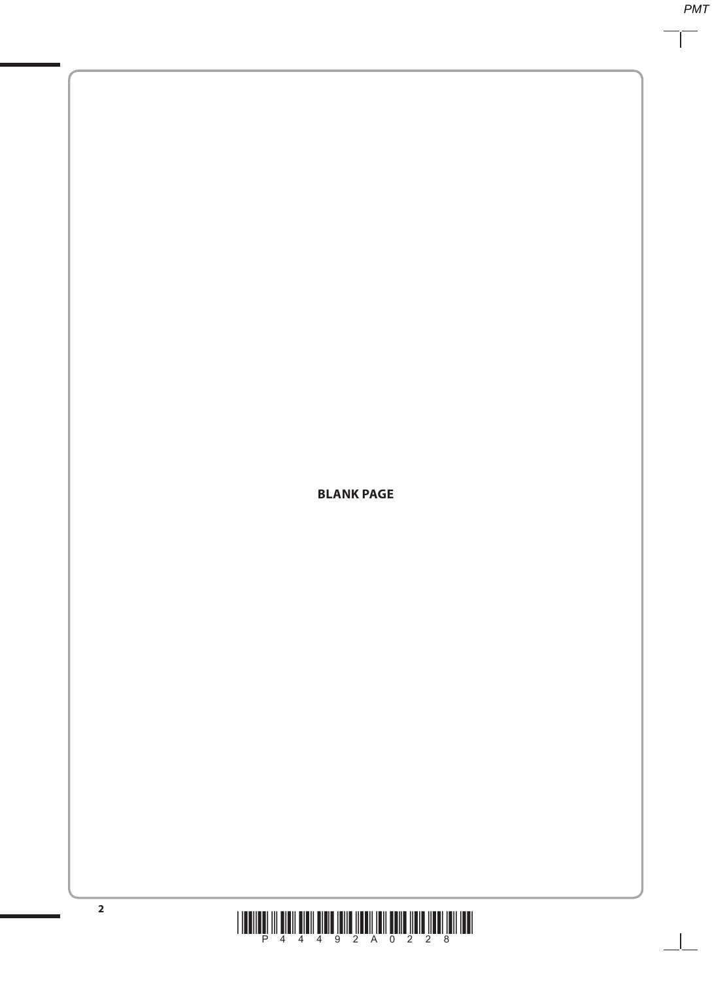## $\begin{array}{c} \text{if} \ \text{if} \ \text{if} \ \text{if} \ \text{if} \ \text{if} \ \text{if} \ \text{if} \ \text{if} \ \text{if} \ \text{if} \ \text{if} \ \text{if} \ \text{if} \ \text{if} \ \text{if} \ \text{if} \ \text{if} \ \text{if} \ \text{if} \ \text{if} \ \text{if} \ \text{if} \ \text{if} \ \text{if} \ \text{if} \ \text{if} \ \text{if} \ \text{if} \ \text{if} \ \text{if} \ \text{if} \ \text{if} \ \text{if} \ \text{if} \ \text{$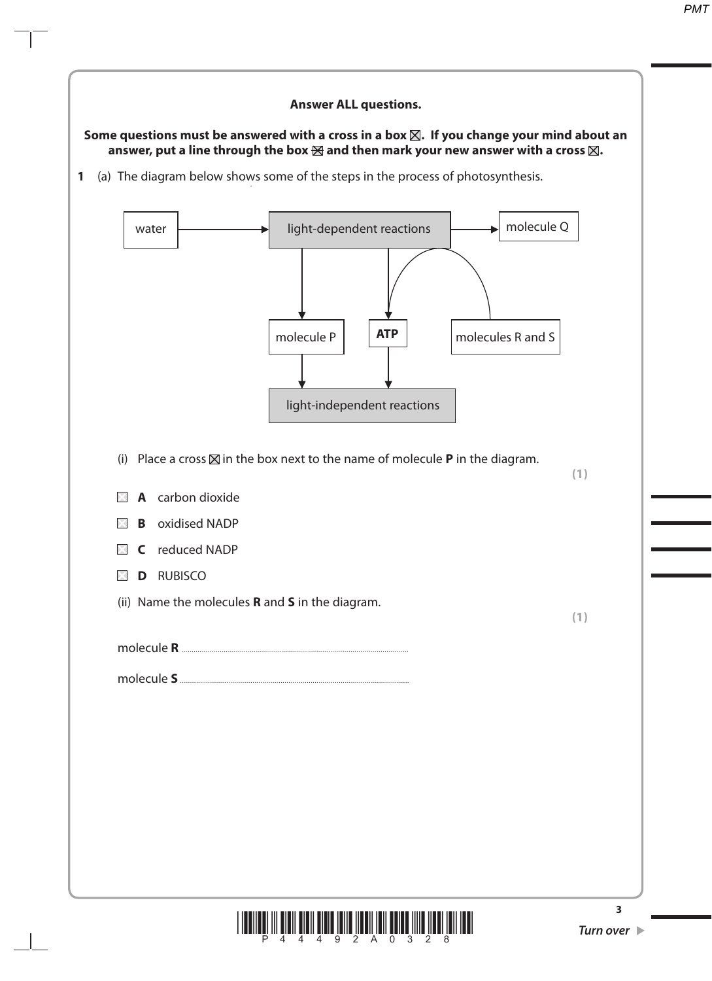## **Answer ALL questions.** Some questions must be answered with a cross in a box  $\boxtimes$ . If you change your mind about an answer, put a line through the box  $\mathbb{\mathbb{R}}$  and then mark your new answer with a cross  $\mathbb{X}$ . **1** (a) The diagram below shows some of the steps in the process of photosynthesis. (i) Place a cross  $\boxtimes$  in the box next to the name of molecule **P** in the diagram. **(1) A** carbon dioxide **B** oxidised NADP **C** reduced NADP **D** RUBISCO (ii) Name the molecules **R** and **S** in the diagram. **(1)** molecule **R** ................................................................................................................. molecule **S** .................................................................................................................. water  $\begin{array}{|c|c|}\n\hline\n\end{array}$  light-dependent reactions light-independent reactions **ATP** | molecules R and S molecule Q molecule P

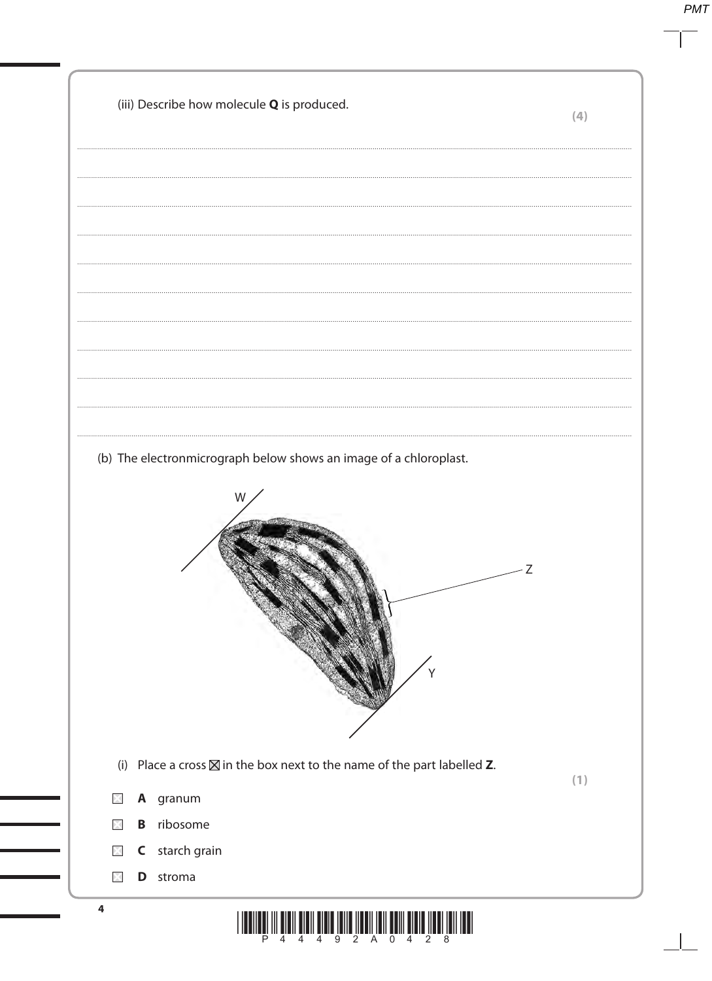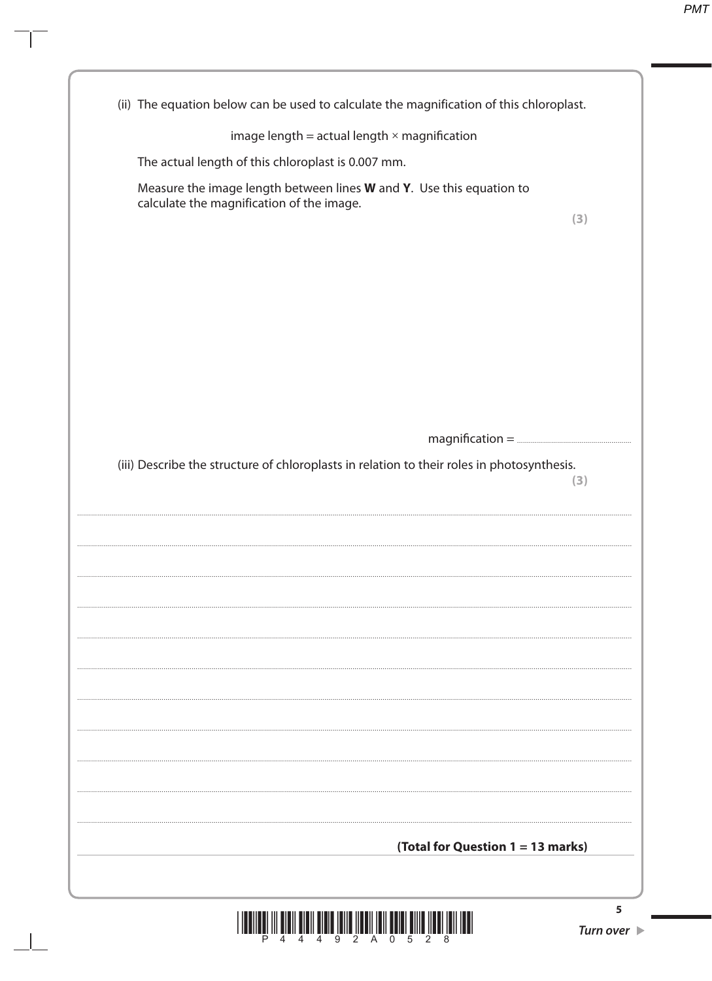| (ii) The equation below can be used to calculate the magnification of this chloroplast.<br>image length = actual length $\times$ magnification<br>The actual length of this chloroplast is 0.007 mm.<br>Measure the image length between lines <b>W</b> and <b>Y</b> . Use this equation to<br>calculate the magnification of the image.<br>(3) |   |
|-------------------------------------------------------------------------------------------------------------------------------------------------------------------------------------------------------------------------------------------------------------------------------------------------------------------------------------------------|---|
|                                                                                                                                                                                                                                                                                                                                                 |   |
|                                                                                                                                                                                                                                                                                                                                                 |   |
|                                                                                                                                                                                                                                                                                                                                                 |   |
|                                                                                                                                                                                                                                                                                                                                                 |   |
|                                                                                                                                                                                                                                                                                                                                                 |   |
|                                                                                                                                                                                                                                                                                                                                                 |   |
|                                                                                                                                                                                                                                                                                                                                                 |   |
|                                                                                                                                                                                                                                                                                                                                                 |   |
|                                                                                                                                                                                                                                                                                                                                                 |   |
|                                                                                                                                                                                                                                                                                                                                                 |   |
|                                                                                                                                                                                                                                                                                                                                                 |   |
|                                                                                                                                                                                                                                                                                                                                                 |   |
|                                                                                                                                                                                                                                                                                                                                                 |   |
|                                                                                                                                                                                                                                                                                                                                                 |   |
| (iii) Describe the structure of chloroplasts in relation to their roles in photosynthesis.<br>(3)                                                                                                                                                                                                                                               |   |
|                                                                                                                                                                                                                                                                                                                                                 |   |
|                                                                                                                                                                                                                                                                                                                                                 |   |
|                                                                                                                                                                                                                                                                                                                                                 |   |
|                                                                                                                                                                                                                                                                                                                                                 |   |
|                                                                                                                                                                                                                                                                                                                                                 |   |
|                                                                                                                                                                                                                                                                                                                                                 |   |
|                                                                                                                                                                                                                                                                                                                                                 |   |
|                                                                                                                                                                                                                                                                                                                                                 |   |
|                                                                                                                                                                                                                                                                                                                                                 |   |
|                                                                                                                                                                                                                                                                                                                                                 |   |
|                                                                                                                                                                                                                                                                                                                                                 |   |
|                                                                                                                                                                                                                                                                                                                                                 |   |
|                                                                                                                                                                                                                                                                                                                                                 |   |
|                                                                                                                                                                                                                                                                                                                                                 |   |
| (Total for Question 1 = 13 marks)                                                                                                                                                                                                                                                                                                               |   |
|                                                                                                                                                                                                                                                                                                                                                 |   |
|                                                                                                                                                                                                                                                                                                                                                 |   |
|                                                                                                                                                                                                                                                                                                                                                 | 5 |
| Turn over $\blacktriangleright$                                                                                                                                                                                                                                                                                                                 |   |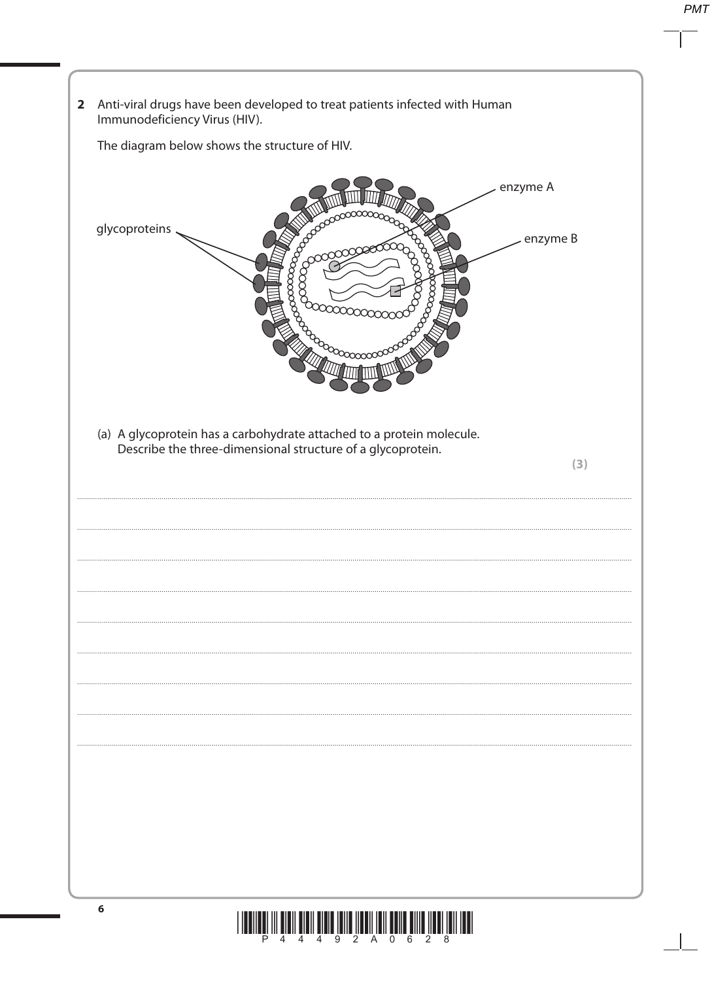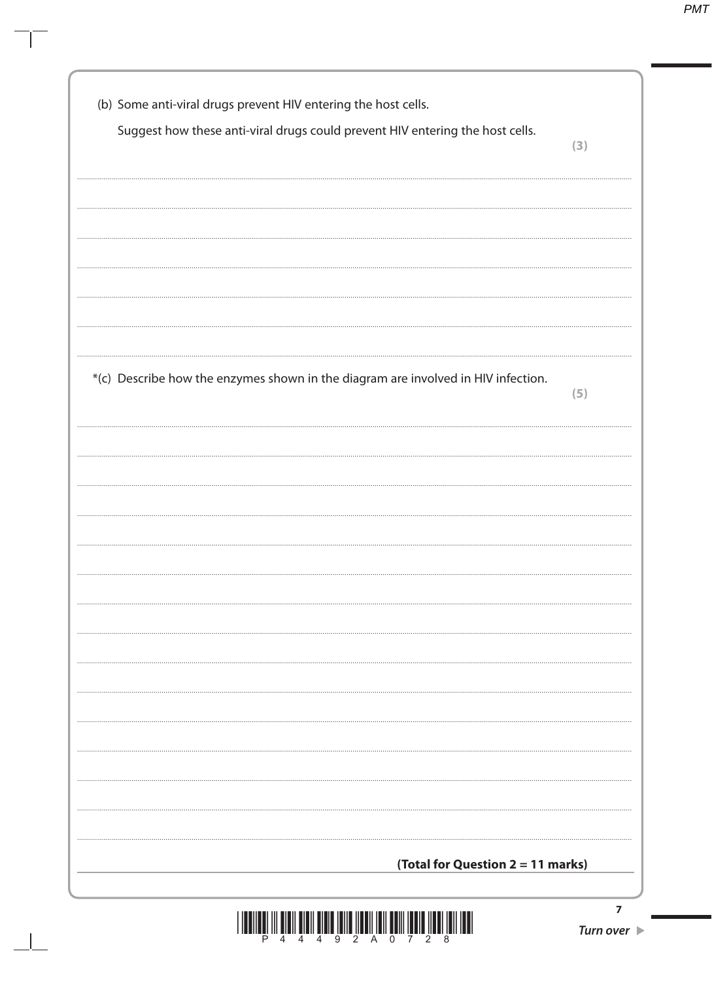| Suggest how these anti-viral drugs could prevent HIV entering the host cells.     |     |
|-----------------------------------------------------------------------------------|-----|
|                                                                                   | (3) |
|                                                                                   |     |
|                                                                                   |     |
|                                                                                   |     |
|                                                                                   |     |
|                                                                                   |     |
|                                                                                   |     |
|                                                                                   |     |
|                                                                                   |     |
| *(c) Describe how the enzymes shown in the diagram are involved in HIV infection. |     |
|                                                                                   | (5) |
|                                                                                   |     |
|                                                                                   |     |
|                                                                                   |     |
|                                                                                   |     |
|                                                                                   |     |
|                                                                                   |     |
|                                                                                   |     |
|                                                                                   |     |
|                                                                                   |     |
|                                                                                   |     |
|                                                                                   |     |
|                                                                                   |     |
|                                                                                   |     |
|                                                                                   |     |
|                                                                                   |     |
|                                                                                   |     |
|                                                                                   |     |
|                                                                                   |     |
|                                                                                   |     |
|                                                                                   |     |
| (Total for Question 2 = 11 marks)                                                 |     |

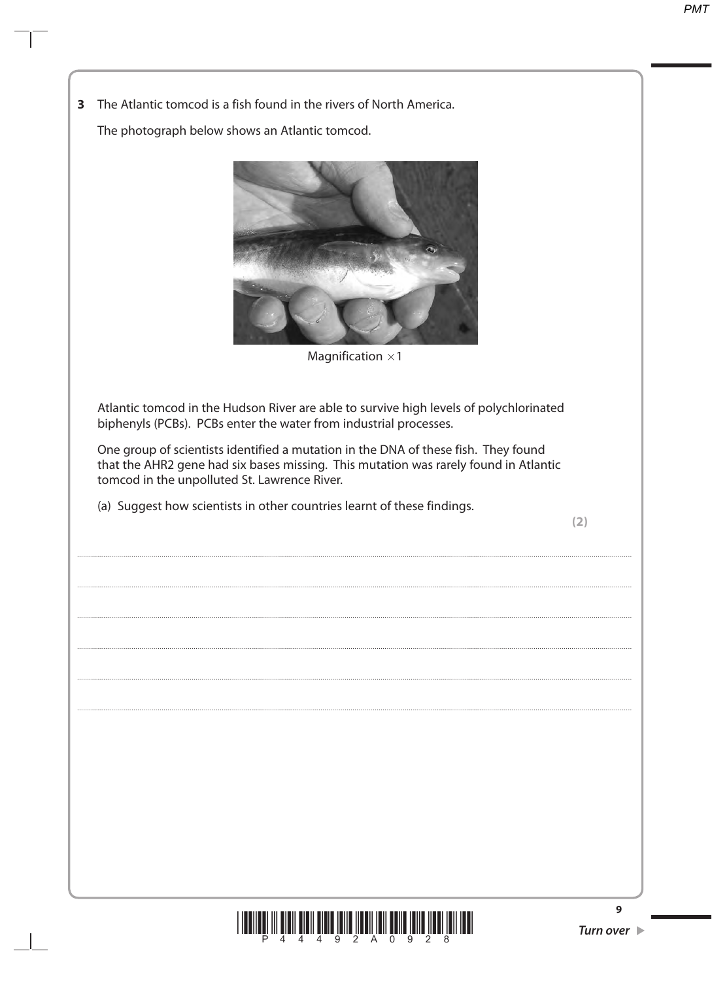3 The Atlantic tomcod is a fish found in the rivers of North America.

The photograph below shows an Atlantic tomcod.



Magnification  $\times 1$ 

Atlantic tomcod in the Hudson River are able to survive high levels of polychlorinated biphenyls (PCBs). PCBs enter the water from industrial processes.

One group of scientists identified a mutation in the DNA of these fish. They found that the AHR2 gene had six bases missing. This mutation was rarely found in Atlantic tomcod in the unpolluted St. Lawrence River.

(a) Suggest how scientists in other countries learnt of these findings.

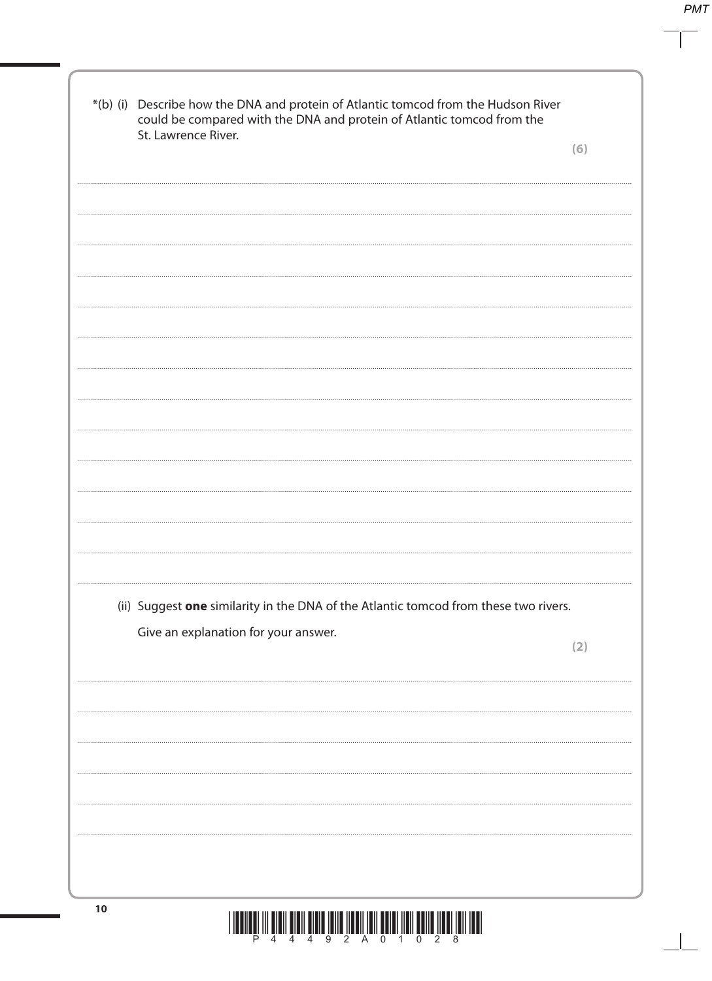\*(b) (i) Describe how the DNA and protein of Atlantic tomcod from the Hudson River could be compared with the DNA and protein of Atlantic tomcod from the St. Lawrence River.  $(6)$ (ii) Suggest one similarity in the DNA of the Atlantic tomcod from these two rivers. Give an explanation for your answer.  $(2)$ 10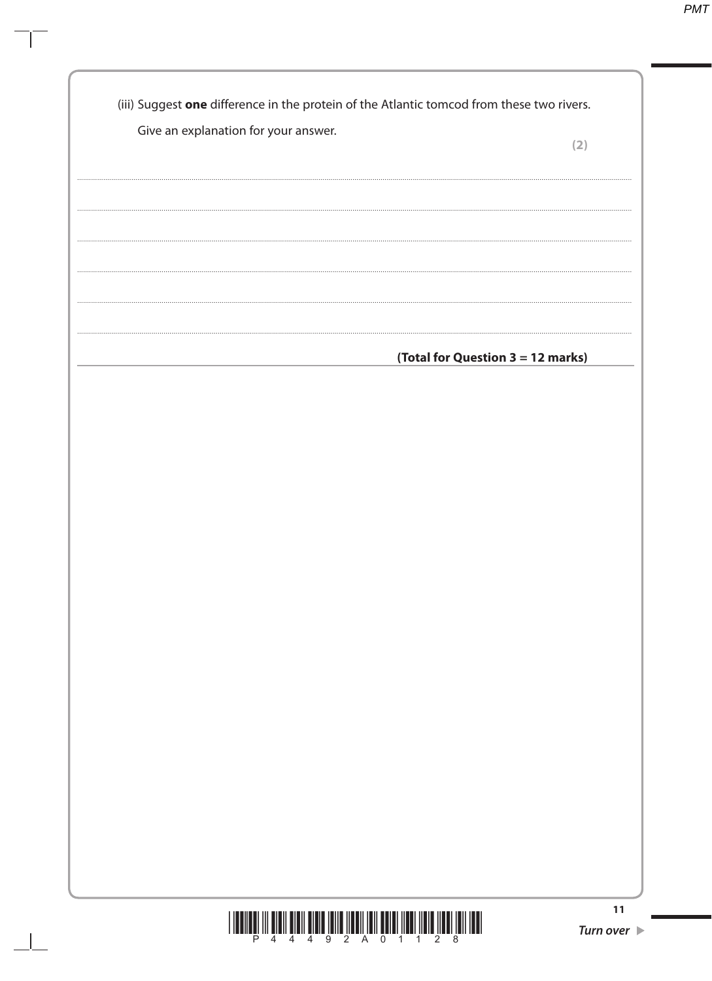| Give an explanation for your answer. |                                                                                          |
|--------------------------------------|------------------------------------------------------------------------------------------|
|                                      | (2)                                                                                      |
|                                      |                                                                                          |
|                                      |                                                                                          |
|                                      |                                                                                          |
|                                      |                                                                                          |
|                                      |                                                                                          |
|                                      |                                                                                          |
|                                      |                                                                                          |
|                                      |                                                                                          |
|                                      | (Total for Question 3 = 12 marks)                                                        |
|                                      |                                                                                          |
|                                      |                                                                                          |
|                                      |                                                                                          |
|                                      |                                                                                          |
|                                      |                                                                                          |
|                                      |                                                                                          |
|                                      |                                                                                          |
|                                      |                                                                                          |
|                                      |                                                                                          |
|                                      |                                                                                          |
|                                      |                                                                                          |
|                                      |                                                                                          |
|                                      |                                                                                          |
|                                      |                                                                                          |
|                                      |                                                                                          |
|                                      |                                                                                          |
|                                      |                                                                                          |
|                                      |                                                                                          |
|                                      |                                                                                          |
|                                      |                                                                                          |
|                                      |                                                                                          |
|                                      |                                                                                          |
|                                      |                                                                                          |
|                                      |                                                                                          |
|                                      |                                                                                          |
|                                      |                                                                                          |
|                                      | <u> III DA BIR INI INI MARU DA BIR INI MARU DA BI</u><br>Turn over $\blacktriangleright$ |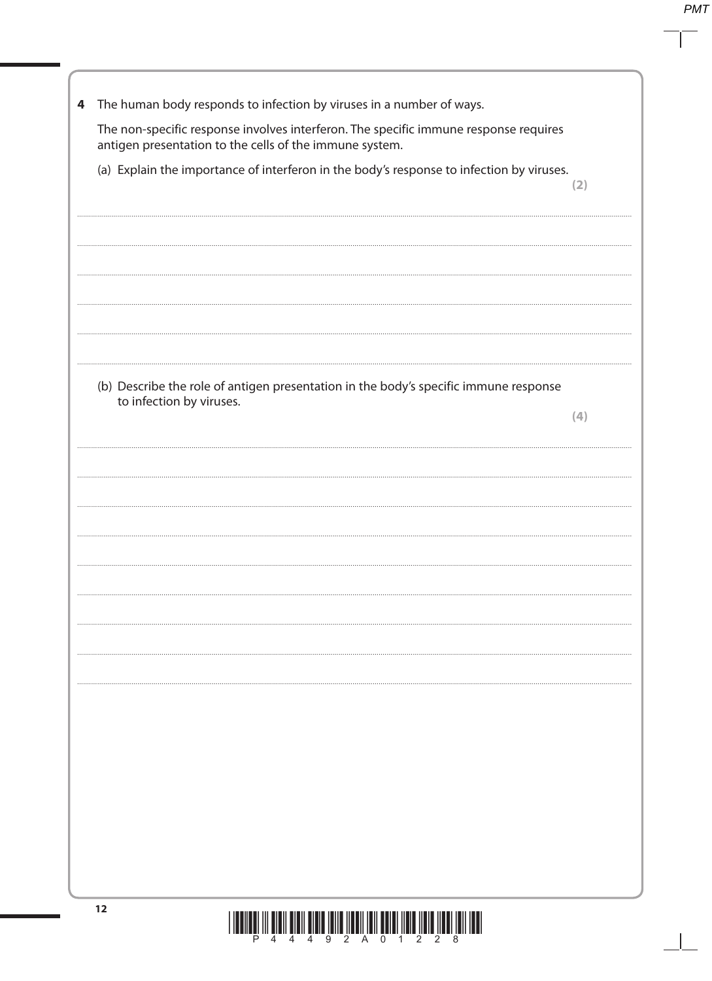|                          | The non-specific response involves interferon. The specific immune response requires     |     |
|--------------------------|------------------------------------------------------------------------------------------|-----|
|                          | antigen presentation to the cells of the immune system.                                  |     |
|                          | (a) Explain the importance of interferon in the body's response to infection by viruses. | (2) |
|                          |                                                                                          |     |
|                          |                                                                                          |     |
|                          |                                                                                          |     |
|                          | (b) Describe the role of antigen presentation in the body's specific immune response     |     |
| to infection by viruses. |                                                                                          | (4) |
|                          |                                                                                          |     |
|                          |                                                                                          |     |
|                          |                                                                                          |     |
|                          |                                                                                          |     |
|                          |                                                                                          |     |
|                          |                                                                                          |     |
|                          |                                                                                          |     |
|                          |                                                                                          |     |
|                          |                                                                                          |     |
|                          |                                                                                          |     |
|                          |                                                                                          |     |
|                          |                                                                                          |     |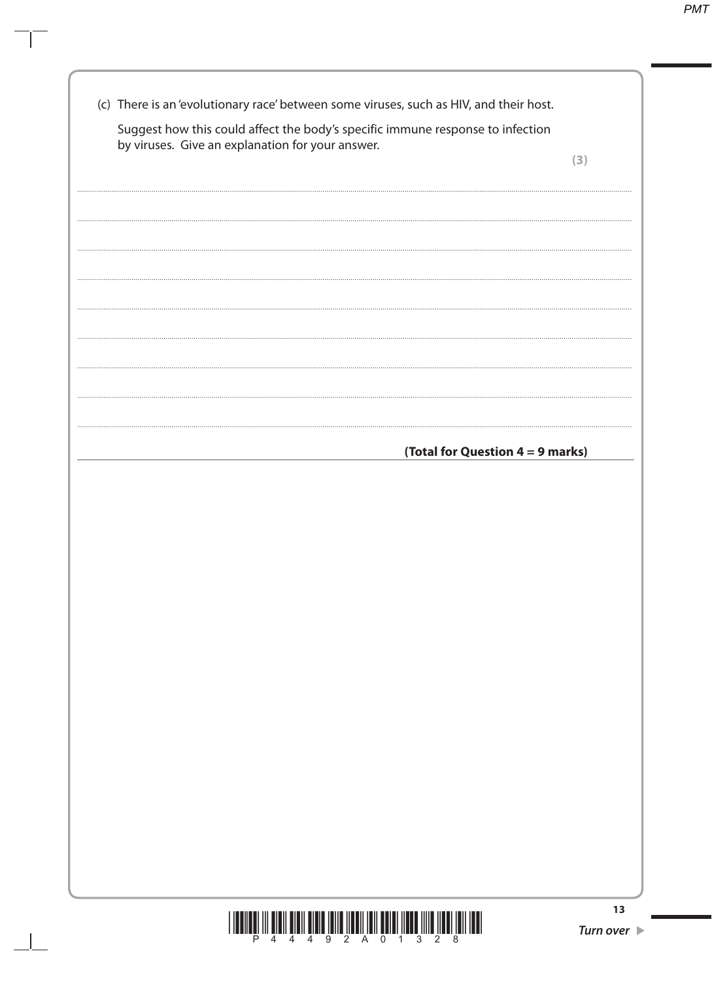| (c) There is an 'evolutionary race' between some viruses, such as HIV, and their host.                                             |     |
|------------------------------------------------------------------------------------------------------------------------------------|-----|
| Suggest how this could affect the body's specific immune response to infection<br>by viruses. Give an explanation for your answer. |     |
|                                                                                                                                    | (3) |
|                                                                                                                                    |     |
|                                                                                                                                    |     |
|                                                                                                                                    |     |
|                                                                                                                                    |     |
|                                                                                                                                    |     |
|                                                                                                                                    |     |
| (Total for Question 4 = 9 marks)                                                                                                   |     |
|                                                                                                                                    |     |
|                                                                                                                                    |     |
|                                                                                                                                    |     |
|                                                                                                                                    |     |
|                                                                                                                                    |     |
|                                                                                                                                    |     |
|                                                                                                                                    |     |
|                                                                                                                                    |     |
|                                                                                                                                    |     |
|                                                                                                                                    |     |
|                                                                                                                                    |     |
|                                                                                                                                    | 13  |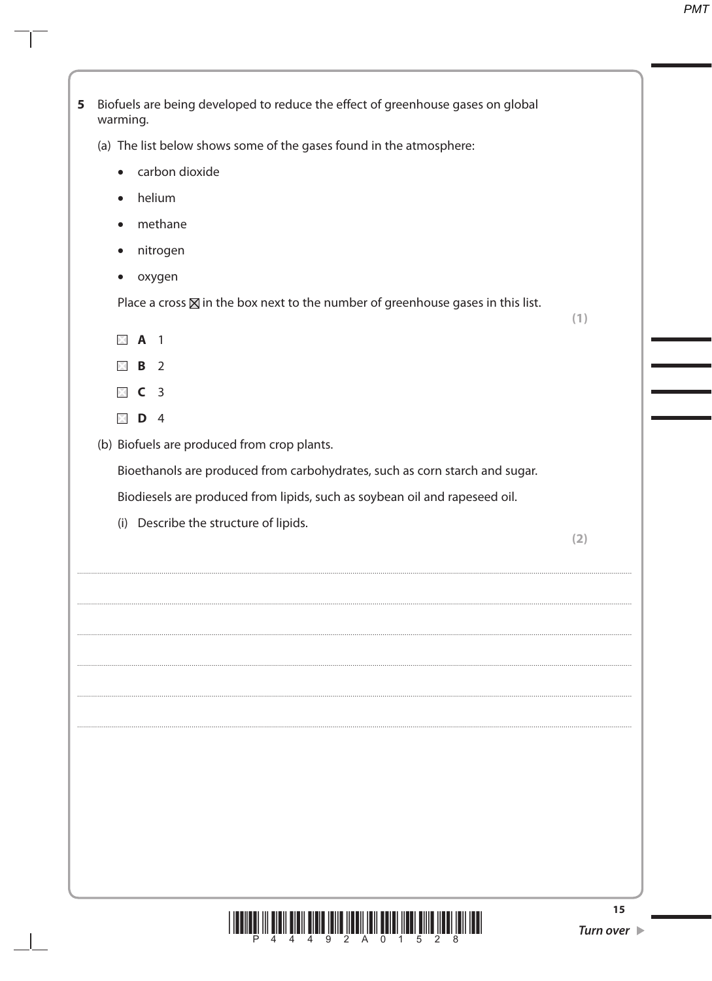| Biofuels are being developed to reduce the effect of greenhouse gases on global<br>5      |     |
|-------------------------------------------------------------------------------------------|-----|
| warming.                                                                                  |     |
| (a) The list below shows some of the gases found in the atmosphere:                       |     |
| carbon dioxide<br>$\bullet$                                                               |     |
| helium<br>$\bullet$                                                                       |     |
| methane<br>$\bullet$                                                                      |     |
| nitrogen<br>$\bullet$                                                                     |     |
| oxygen                                                                                    |     |
| Place a cross $\boxtimes$ in the box next to the number of greenhouse gases in this list. | (1) |
| A <sub>1</sub><br>$\times$                                                                |     |
| B<br>$\overline{2}$                                                                       |     |
| $\overline{\mathbf{3}}$<br>C                                                              |     |
| $D \quad 4$                                                                               |     |
| (b) Biofuels are produced from crop plants.                                               |     |
| Bioethanols are produced from carbohydrates, such as corn starch and sugar.               |     |
| Biodiesels are produced from lipids, such as soybean oil and rapeseed oil.                |     |
| (i) Describe the structure of lipids.                                                     |     |
|                                                                                           | (2) |
|                                                                                           |     |
|                                                                                           |     |
|                                                                                           |     |
|                                                                                           |     |
|                                                                                           |     |
|                                                                                           |     |
|                                                                                           |     |
|                                                                                           |     |
|                                                                                           |     |
|                                                                                           |     |
|                                                                                           |     |
|                                                                                           |     |
|                                                                                           |     |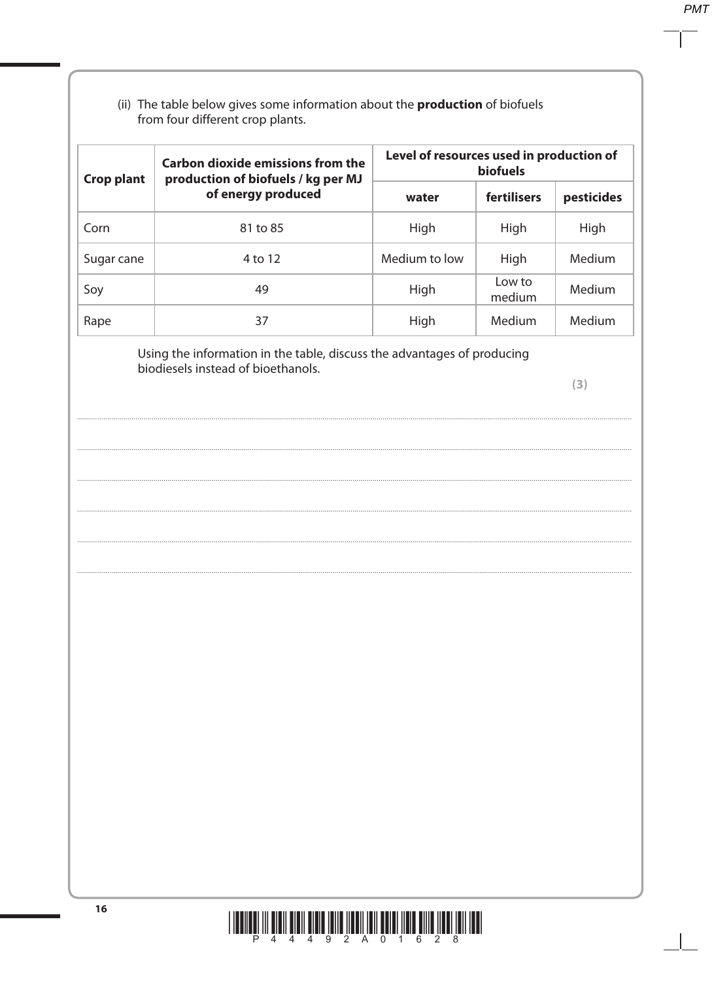| (ii) The table below gives some information about the <b>production</b> of biofuels |
|-------------------------------------------------------------------------------------|
| from four different crop plants.                                                    |

| <b>Crop plant</b> | <b>Carbon dioxide emissions from the</b><br>production of biofuels / kg per MJ | Level of resources used in production of<br><b>biofuels</b> |                  |            |
|-------------------|--------------------------------------------------------------------------------|-------------------------------------------------------------|------------------|------------|
|                   | of energy produced                                                             | water                                                       | fertilisers      | pesticides |
| Corn              | 81 to 85                                                                       | High                                                        | High             | High       |
| Sugar cane        | 4 to 12                                                                        | Medium to low                                               | High             | Medium     |
| Soy               | 49                                                                             | High                                                        | Low to<br>medium | Medium     |
| Rape              | 37                                                                             | High                                                        | Medium           | Medium     |

Using the information in the table, discuss the advantages of producing<br>biodiesels instead of bioethanols.

 $(3)$ 

 $\begin{array}{c} \text{if} \ \text{if} \ \text{if} \ \text{if} \ \text{if} \ \text{if} \ \text{if} \ \text{if} \ \text{if} \ \text{if} \ \text{if} \ \text{if} \ \text{if} \ \text{if} \ \text{if} \ \text{if} \ \text{if} \ \text{if} \ \text{if} \ \text{if} \ \text{if} \ \text{if} \ \text{if} \ \text{if} \ \text{if} \ \text{if} \ \text{if} \ \text{if} \ \text{if} \ \text{if} \ \text{if} \ \text{if} \ \text{if} \ \text{if} \ \text{if} \ \text{$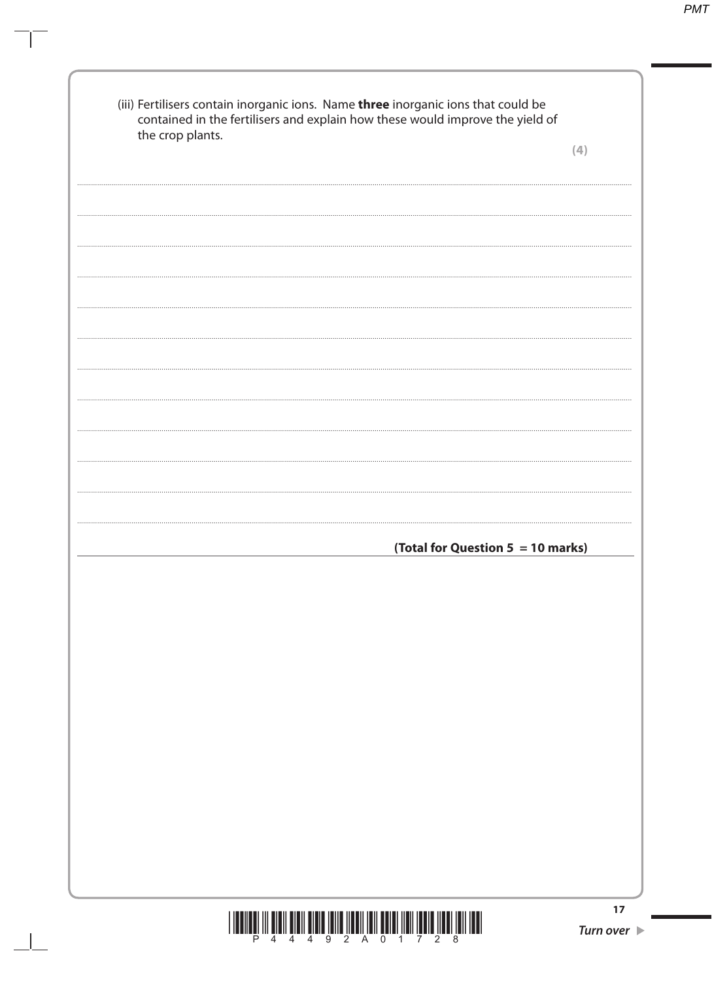| contained in the fertilisers and explain how these would improve the yield of<br>the crop plants.                                                                                                                                                                                                                                                                                                                                                             | (iii) Fertilisers contain inorganic ions. Name three inorganic ions that could be |
|---------------------------------------------------------------------------------------------------------------------------------------------------------------------------------------------------------------------------------------------------------------------------------------------------------------------------------------------------------------------------------------------------------------------------------------------------------------|-----------------------------------------------------------------------------------|
|                                                                                                                                                                                                                                                                                                                                                                                                                                                               | (4)                                                                               |
|                                                                                                                                                                                                                                                                                                                                                                                                                                                               |                                                                                   |
|                                                                                                                                                                                                                                                                                                                                                                                                                                                               |                                                                                   |
|                                                                                                                                                                                                                                                                                                                                                                                                                                                               |                                                                                   |
|                                                                                                                                                                                                                                                                                                                                                                                                                                                               |                                                                                   |
|                                                                                                                                                                                                                                                                                                                                                                                                                                                               |                                                                                   |
|                                                                                                                                                                                                                                                                                                                                                                                                                                                               |                                                                                   |
|                                                                                                                                                                                                                                                                                                                                                                                                                                                               |                                                                                   |
|                                                                                                                                                                                                                                                                                                                                                                                                                                                               |                                                                                   |
|                                                                                                                                                                                                                                                                                                                                                                                                                                                               |                                                                                   |
|                                                                                                                                                                                                                                                                                                                                                                                                                                                               |                                                                                   |
|                                                                                                                                                                                                                                                                                                                                                                                                                                                               |                                                                                   |
|                                                                                                                                                                                                                                                                                                                                                                                                                                                               |                                                                                   |
|                                                                                                                                                                                                                                                                                                                                                                                                                                                               |                                                                                   |
|                                                                                                                                                                                                                                                                                                                                                                                                                                                               |                                                                                   |
| (Total for Question 5 = 10 marks)                                                                                                                                                                                                                                                                                                                                                                                                                             |                                                                                   |
|                                                                                                                                                                                                                                                                                                                                                                                                                                                               |                                                                                   |
|                                                                                                                                                                                                                                                                                                                                                                                                                                                               |                                                                                   |
|                                                                                                                                                                                                                                                                                                                                                                                                                                                               |                                                                                   |
|                                                                                                                                                                                                                                                                                                                                                                                                                                                               |                                                                                   |
|                                                                                                                                                                                                                                                                                                                                                                                                                                                               |                                                                                   |
|                                                                                                                                                                                                                                                                                                                                                                                                                                                               |                                                                                   |
|                                                                                                                                                                                                                                                                                                                                                                                                                                                               |                                                                                   |
|                                                                                                                                                                                                                                                                                                                                                                                                                                                               |                                                                                   |
|                                                                                                                                                                                                                                                                                                                                                                                                                                                               |                                                                                   |
|                                                                                                                                                                                                                                                                                                                                                                                                                                                               |                                                                                   |
|                                                                                                                                                                                                                                                                                                                                                                                                                                                               |                                                                                   |
|                                                                                                                                                                                                                                                                                                                                                                                                                                                               |                                                                                   |
|                                                                                                                                                                                                                                                                                                                                                                                                                                                               |                                                                                   |
|                                                                                                                                                                                                                                                                                                                                                                                                                                                               |                                                                                   |
|                                                                                                                                                                                                                                                                                                                                                                                                                                                               |                                                                                   |
| $\begin{array}{c} \text{if} \ \text{if} \ \text{if} \ \text{if} \ \text{if} \ \text{if} \ \text{if} \ \text{if} \ \text{if} \ \text{if} \ \text{if} \ \text{if} \ \text{if} \ \text{if} \ \text{if} \ \text{if} \ \text{if} \ \text{if} \ \text{if} \ \text{if} \ \text{if} \ \text{if} \ \text{if} \ \text{if} \ \text{if} \ \text{if} \ \text{if} \ \text{if} \ \text{if} \ \text{if} \ \text{if} \ \text{if} \ \text{if} \ \text{if} \ \text{if} \ \text{$ | 17                                                                                |

 $\overline{\phantom{a}}$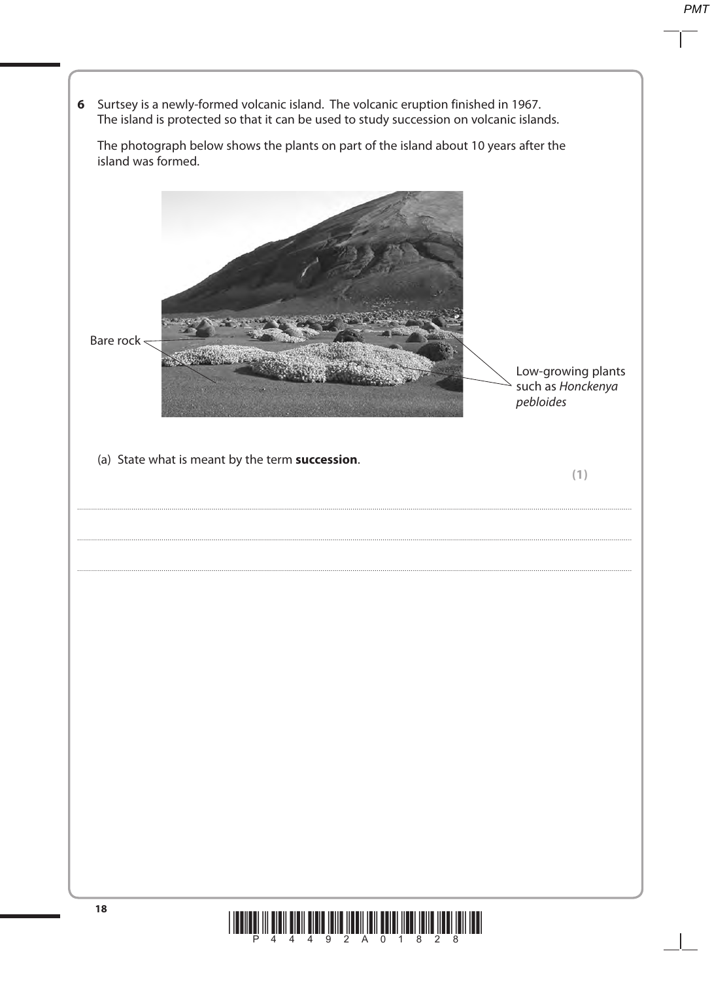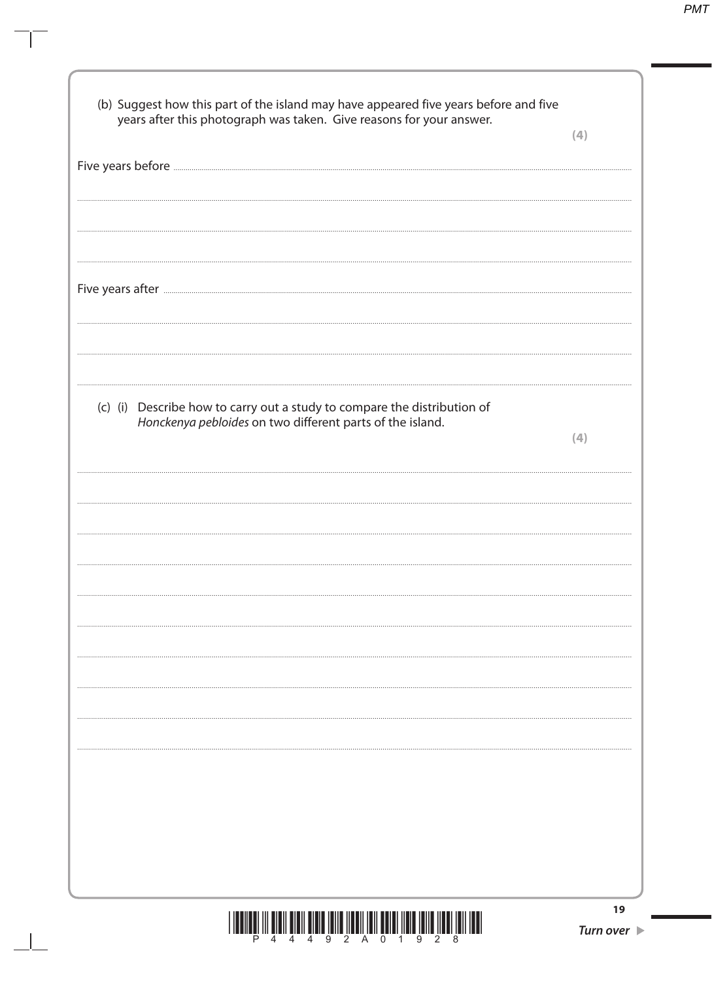| years after this photograph was taken. Give reasons for your answer.     | (4)                                   |
|--------------------------------------------------------------------------|---------------------------------------|
|                                                                          |                                       |
|                                                                          |                                       |
|                                                                          |                                       |
|                                                                          |                                       |
|                                                                          |                                       |
|                                                                          |                                       |
|                                                                          |                                       |
|                                                                          |                                       |
| (c) (i) Describe how to carry out a study to compare the distribution of |                                       |
| Honckenya pebloides on two different parts of the island.                | (4)                                   |
|                                                                          |                                       |
|                                                                          |                                       |
|                                                                          |                                       |
|                                                                          |                                       |
|                                                                          |                                       |
|                                                                          |                                       |
|                                                                          |                                       |
|                                                                          |                                       |
|                                                                          |                                       |
|                                                                          |                                       |
|                                                                          |                                       |
|                                                                          |                                       |
|                                                                          |                                       |
|                                                                          |                                       |
|                                                                          |                                       |
|                                                                          |                                       |
|                                                                          | 19<br>Turn over $\blacktriangleright$ |

 $\sqrt{2}$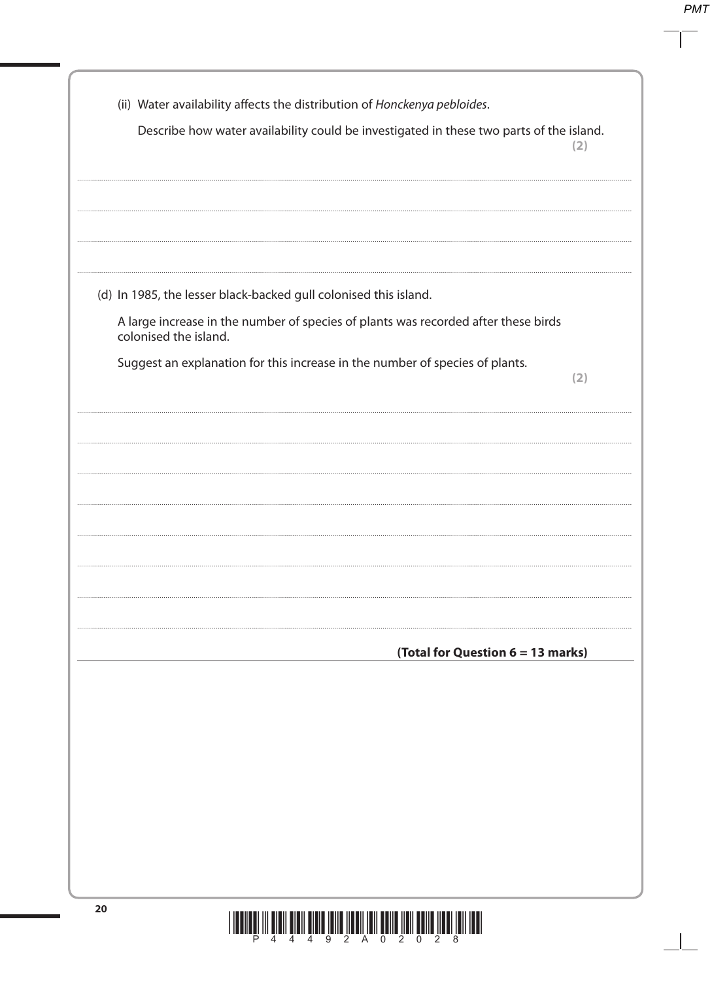|    | (ii) Water availability affects the distribution of Honckenya pebloides.                                             |     |
|----|----------------------------------------------------------------------------------------------------------------------|-----|
|    | Describe how water availability could be investigated in these two parts of the island.                              | (2) |
|    |                                                                                                                      |     |
|    | (d) In 1985, the lesser black-backed gull colonised this island.                                                     |     |
|    | A large increase in the number of species of plants was recorded after these birds<br>colonised the island.          |     |
|    | Suggest an explanation for this increase in the number of species of plants.                                         | (2) |
|    |                                                                                                                      |     |
|    |                                                                                                                      |     |
|    |                                                                                                                      |     |
|    |                                                                                                                      |     |
|    |                                                                                                                      |     |
|    |                                                                                                                      |     |
|    | (Total for Question 6 = 13 marks)                                                                                    |     |
|    |                                                                                                                      |     |
|    |                                                                                                                      |     |
|    |                                                                                                                      |     |
|    |                                                                                                                      |     |
|    |                                                                                                                      |     |
|    |                                                                                                                      |     |
| 20 | <u> I III AN DI III AN DI AN DI AN DI AN DI AN DI AN DI AN DI AN DI AN DI AN DI AN DI AN DI AN DI AN DI AN DI AN</u> |     |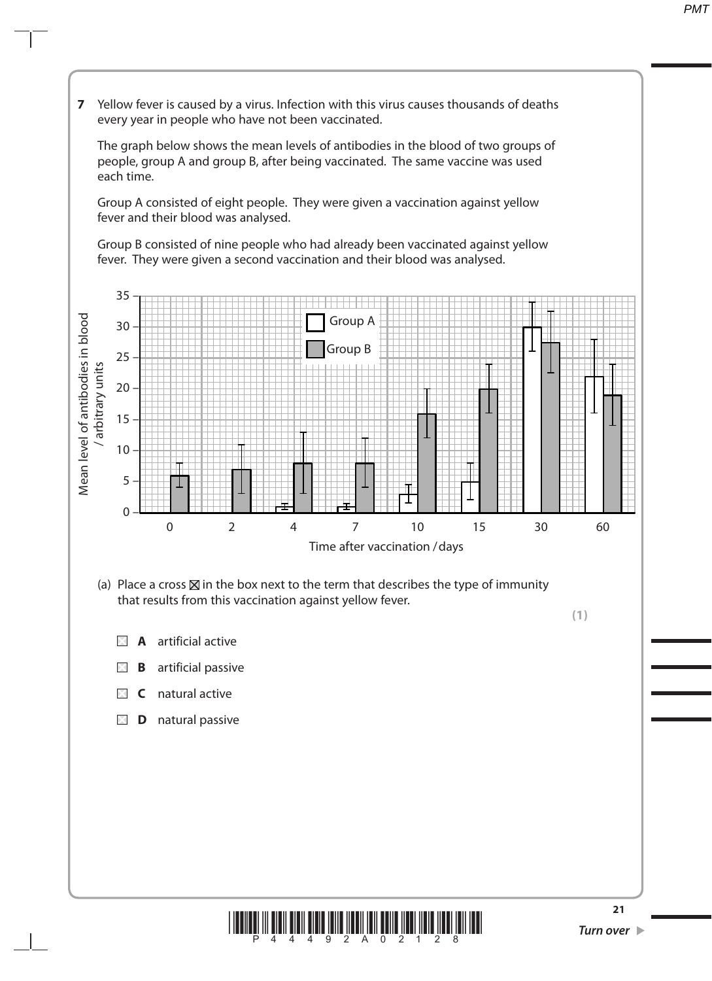**7** Yellow fever is caused by a virus. Infection with this virus causes thousands of deaths every year in people who have not been vaccinated. The graph below shows the mean levels of antibodies in the blood of two groups of people, group A and group B, after being vaccinated. The same vaccine was used each time. Group A consisted of eight people. They were given a vaccination against yellow fever and their blood was analysed. Group B consisted of nine people who had already been vaccinated against yellow fever. They were given a second vaccination and their blood was analysed. 35 – +++++ Mean level of antibodies in blood Mean level of antibodies in blood Group A 30 – Group B 25 – / arbitrary units / arbitrary units 20 – 15 – 10 – 5 –  $\overline{0}$ 0 2 4 7 10 15 30 60 Time after vaccination /days (a) Place a cross  $\boxtimes$  in the box next to the term that describes the type of immunity that results from this vaccination against yellow fever. **(1) A** artificial active **B** artificial passive **C** natural active **D** natural passive

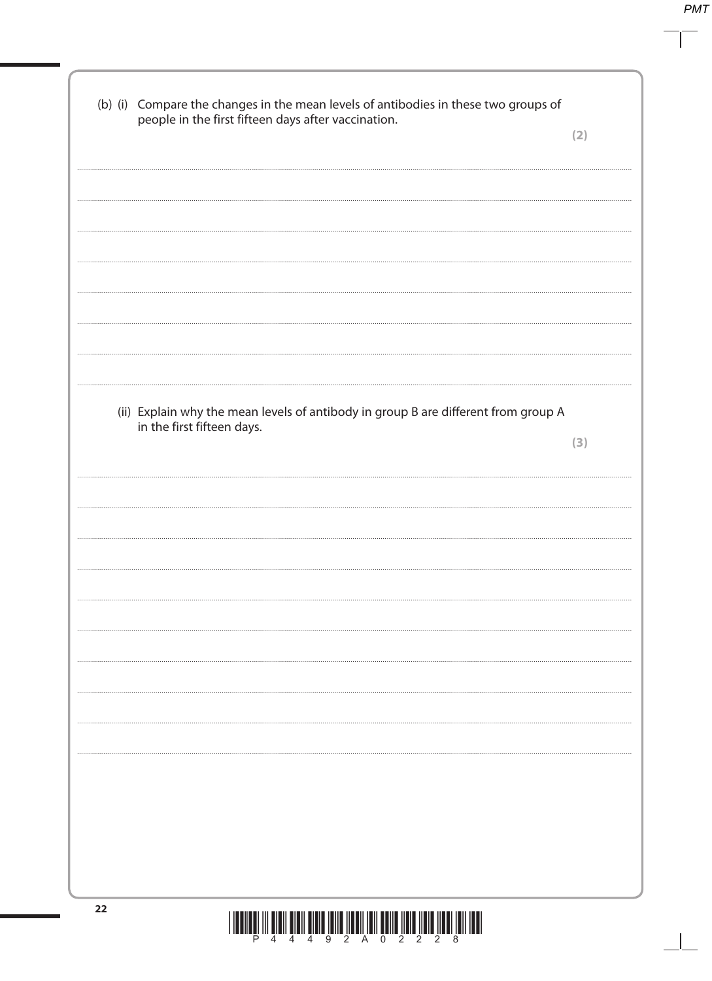| (b) (i) Compare the changes in the mean levels of antibodies in these two groups of<br>people in the first fifteen days after vaccination. | (2) |
|--------------------------------------------------------------------------------------------------------------------------------------------|-----|
|                                                                                                                                            |     |
|                                                                                                                                            |     |
|                                                                                                                                            |     |
|                                                                                                                                            |     |
|                                                                                                                                            |     |
|                                                                                                                                            |     |
|                                                                                                                                            |     |
|                                                                                                                                            |     |
| (ii) Explain why the mean levels of antibody in group B are different from group A<br>in the first fifteen days.                           |     |
|                                                                                                                                            | (3) |
|                                                                                                                                            |     |
|                                                                                                                                            |     |
|                                                                                                                                            |     |
|                                                                                                                                            |     |
|                                                                                                                                            |     |
|                                                                                                                                            |     |
|                                                                                                                                            |     |
|                                                                                                                                            |     |
|                                                                                                                                            |     |
|                                                                                                                                            |     |
|                                                                                                                                            |     |
|                                                                                                                                            |     |
|                                                                                                                                            |     |
|                                                                                                                                            |     |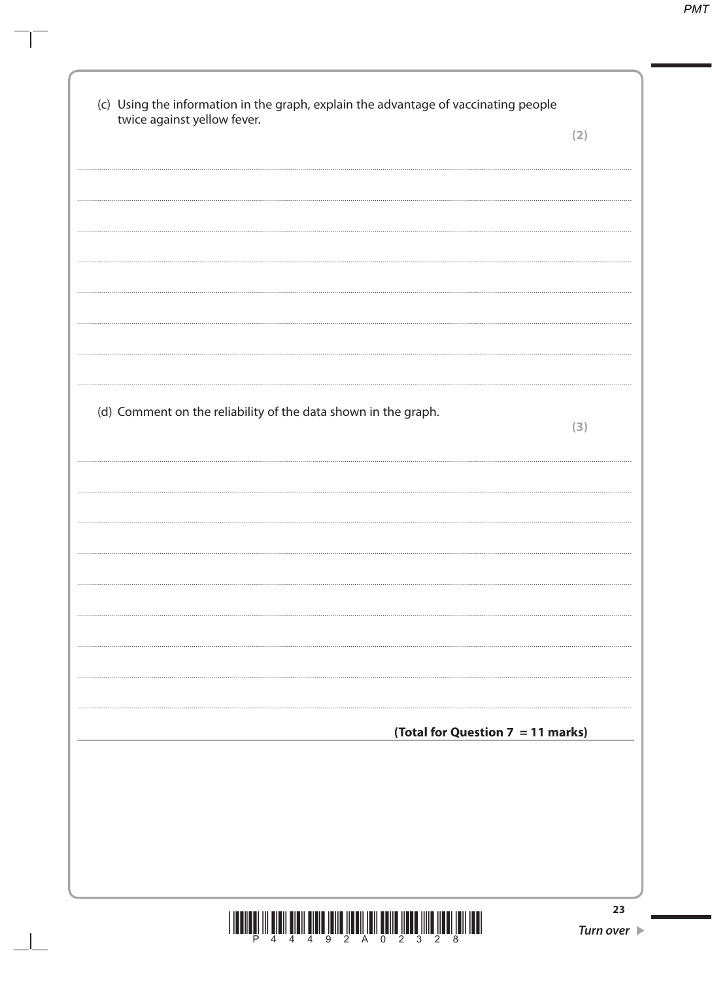| twice against yellow fever.                                    | (2) |
|----------------------------------------------------------------|-----|
|                                                                |     |
|                                                                |     |
|                                                                |     |
|                                                                |     |
|                                                                |     |
|                                                                |     |
|                                                                |     |
|                                                                |     |
|                                                                |     |
|                                                                |     |
| (d) Comment on the reliability of the data shown in the graph. | (3) |
|                                                                |     |
|                                                                |     |
|                                                                |     |
|                                                                |     |
|                                                                |     |
|                                                                |     |
|                                                                |     |
|                                                                |     |
|                                                                |     |
|                                                                |     |
|                                                                |     |
|                                                                |     |
| (Total for Question 7 = 11 marks)                              |     |
|                                                                |     |
|                                                                |     |
|                                                                |     |
|                                                                |     |
|                                                                |     |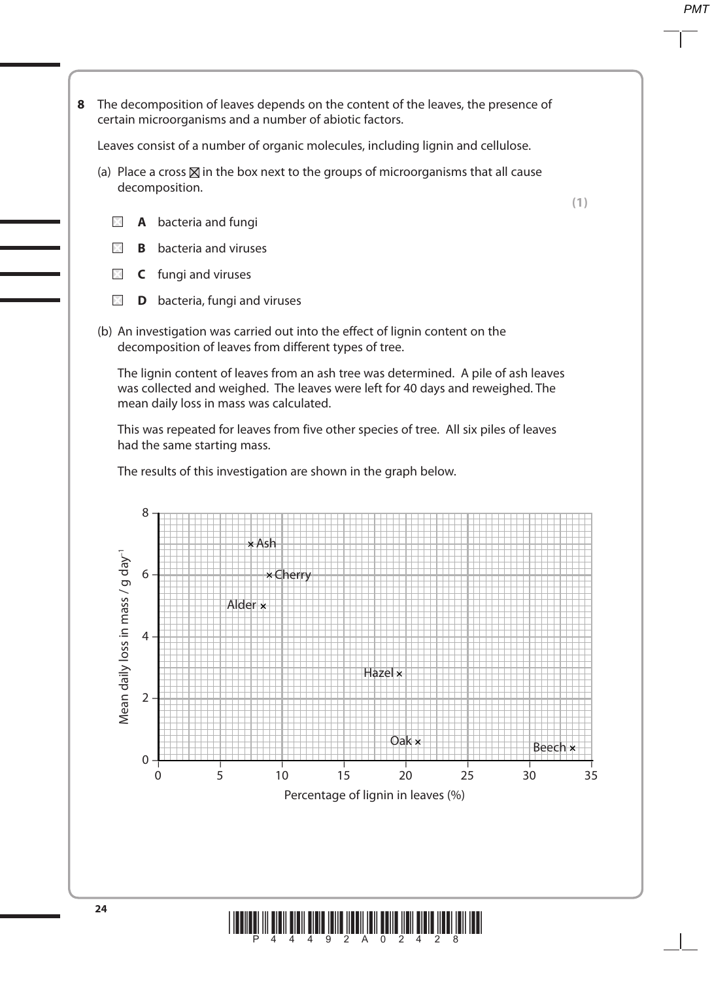**(1)**

**8** The decomposition of leaves depends on the content of the leaves, the presence of certain microorganisms and a number of abiotic factors.

Leaves consist of a number of organic molecules, including lignin and cellulose.

- (a) Place a cross  $\boxtimes$  in the box next to the groups of microorganisms that all cause decomposition.
	- **A** bacteria and fungi
	- **B** bacteria and viruses
	- **C** fungi and viruses
	- **D** bacteria, fungi and viruses
- (b) An investigation was carried out into the effect of lignin content on the decomposition of leaves from different types of tree.

 The lignin content of leaves from an ash tree was determined. A pile of ash leaves was collected and weighed. The leaves were left for 40 days and reweighed. The mean daily loss in mass was calculated.

 This was repeated for leaves from five other species of tree. All six piles of leaves had the same starting mass.

The results of this investigation are shown in the graph below.

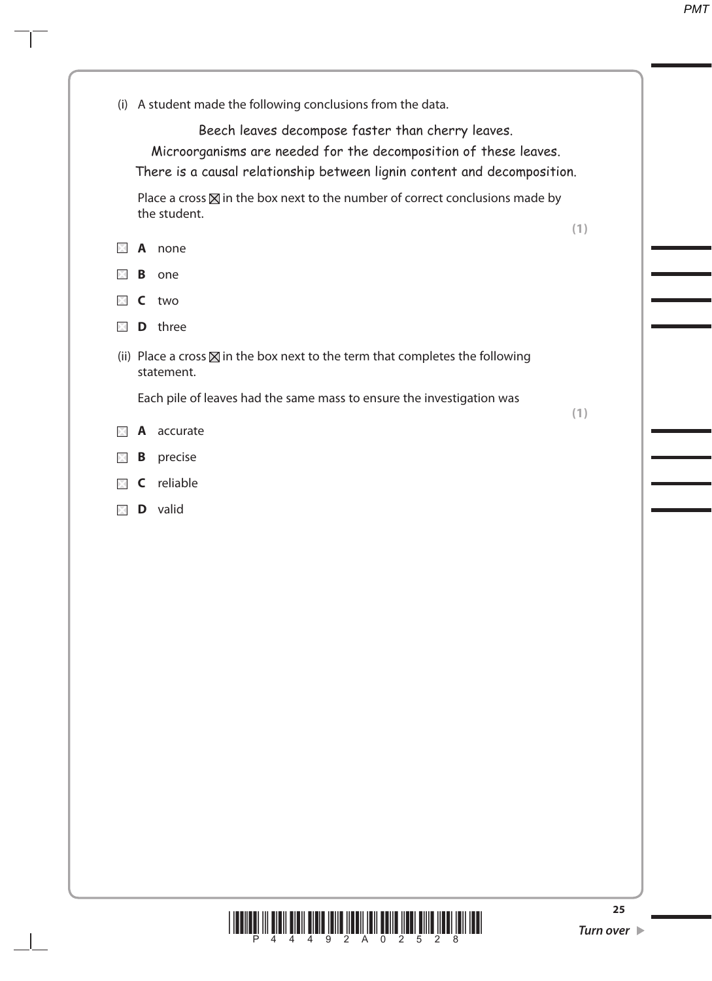|              |   | (i) A student made the following conclusions from the data.                                                                                                                                       |     |
|--------------|---|---------------------------------------------------------------------------------------------------------------------------------------------------------------------------------------------------|-----|
|              |   | Beech leaves decompose faster than cherry leaves.<br>Microorganisms are needed for the decomposition of these leaves.<br>There is a causal relationship between lignin content and decomposition. |     |
|              |   | Place a cross $\boxtimes$ in the box next to the number of correct conclusions made by<br>the student.                                                                                            | (1) |
| $\times$     |   | A none                                                                                                                                                                                            |     |
| $\times$     | B | one                                                                                                                                                                                               |     |
| $\times$     |   | C two                                                                                                                                                                                             |     |
| $\times$     |   | D three                                                                                                                                                                                           |     |
|              |   | (ii) Place a cross $\boxtimes$ in the box next to the term that completes the following<br>statement.                                                                                             |     |
|              |   | Each pile of leaves had the same mass to ensure the investigation was                                                                                                                             |     |
| $\mathbb{R}$ | A | accurate                                                                                                                                                                                          | (1) |
| $\times$     | B | precise                                                                                                                                                                                           |     |
| ×            | C | reliable                                                                                                                                                                                          |     |
| ×            |   | D valid                                                                                                                                                                                           |     |
|              |   |                                                                                                                                                                                                   |     |
|              |   |                                                                                                                                                                                                   |     |
|              |   |                                                                                                                                                                                                   |     |
|              |   |                                                                                                                                                                                                   |     |
|              |   |                                                                                                                                                                                                   |     |
|              |   |                                                                                                                                                                                                   |     |
|              |   |                                                                                                                                                                                                   |     |
|              |   |                                                                                                                                                                                                   |     |
|              |   |                                                                                                                                                                                                   |     |
|              |   |                                                                                                                                                                                                   |     |
|              |   |                                                                                                                                                                                                   |     |
|              |   |                                                                                                                                                                                                   |     |
|              |   |                                                                                                                                                                                                   |     |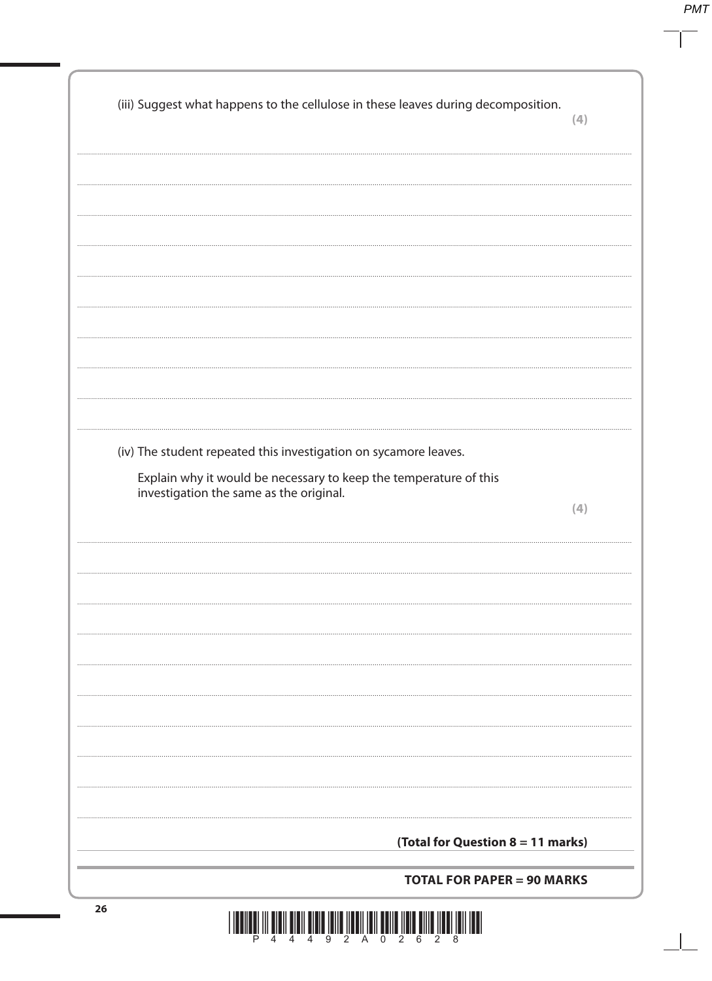| (iii) Suggest what happens to the cellulose in these leaves during decomposition.                                                     | (4) |
|---------------------------------------------------------------------------------------------------------------------------------------|-----|
|                                                                                                                                       |     |
|                                                                                                                                       |     |
|                                                                                                                                       |     |
|                                                                                                                                       |     |
|                                                                                                                                       |     |
|                                                                                                                                       |     |
|                                                                                                                                       |     |
| (iv) The student repeated this investigation on sycamore leaves.<br>Explain why it would be necessary to keep the temperature of this |     |
| investigation the same as the original.                                                                                               | (4) |
|                                                                                                                                       |     |
|                                                                                                                                       |     |
|                                                                                                                                       |     |
|                                                                                                                                       |     |
|                                                                                                                                       |     |
|                                                                                                                                       |     |
| (Total for Question 8 = 11 marks)                                                                                                     |     |
| <b>TOTAL FOR PAPER = 90 MARKS</b>                                                                                                     |     |
| 26<br>9<br>2 A<br>$\Omega$<br>$\frac{2}{2}$ 6                                                                                         |     |